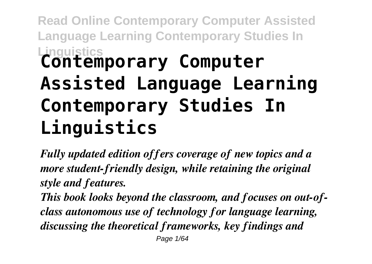## **Read Online Contemporary Computer Assisted Language Learning Contemporary Studies In Linguistics Contemporary Computer Assisted Language Learning Contemporary Studies In Linguistics**

*Fully updated edition offers coverage of new topics and a more student-friendly design, while retaining the original style and features.*

*This book looks beyond the classroom, and focuses on out-ofclass autonomous use of technology for language learning, discussing the theoretical frameworks, key findings and* Page 1/64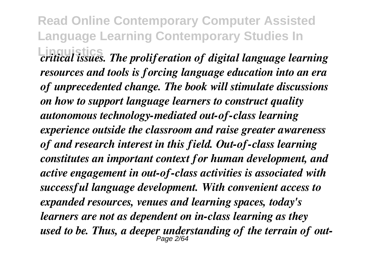**Read Online Contemporary Computer Assisted Language Learning Contemporary Studies In Linguistics** *critical issues. The proliferation of digital language learning resources and tools is forcing language education into an era of unprecedented change. The book will stimulate discussions on how to support language learners to construct quality autonomous technology-mediated out-of-class learning experience outside the classroom and raise greater awareness of and research interest in this field. Out-of-class learning constitutes an important context for human development, and active engagement in out-of-class activities is associated with successful language development. With convenient access to expanded resources, venues and learning spaces, today's learners are not as dependent on in-class learning as they used to be. Thus, a deeper understanding of the terrain of out-*Page 2/64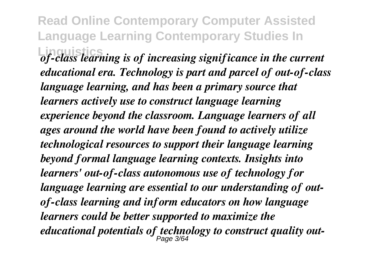**Read Online Contemporary Computer Assisted Language Learning Contemporary Studies In Linguistics** *of-class learning is of increasing significance in the current educational era. Technology is part and parcel of out-of-class language learning, and has been a primary source that learners actively use to construct language learning experience beyond the classroom. Language learners of all ages around the world have been found to actively utilize technological resources to support their language learning beyond formal language learning contexts. Insights into learners' out-of-class autonomous use of technology for language learning are essential to our understanding of outof-class learning and inform educators on how language learners could be better supported to maximize the educational potentials of technology to construct quality out-*Page 3/64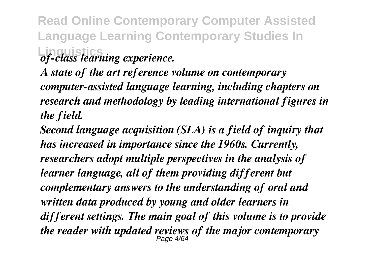**Read Online Contemporary Computer Assisted Language Learning Contemporary Studies In Linguistics** *of-class learning experience.*

*A state of the art reference volume on contemporary computer-assisted language learning, including chapters on research and methodology by leading international figures in the field.*

*Second language acquisition (SLA) is a field of inquiry that has increased in importance since the 1960s. Currently, researchers adopt multiple perspectives in the analysis of learner language, all of them providing different but complementary answers to the understanding of oral and written data produced by young and older learners in different settings. The main goal of this volume is to provide the reader with updated reviews of the major contemporary* Page 4/64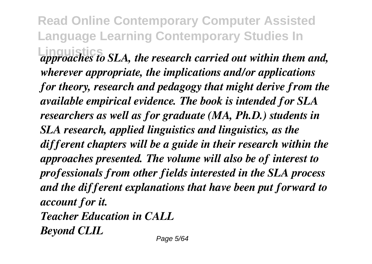**Read Online Contemporary Computer Assisted Language Learning Contemporary Studies In Linguistics** *approaches to SLA, the research carried out within them and, wherever appropriate, the implications and/or applications for theory, research and pedagogy that might derive from the available empirical evidence. The book is intended for SLA researchers as well as for graduate (MA, Ph.D.) students in SLA research, applied linguistics and linguistics, as the different chapters will be a guide in their research within the approaches presented. The volume will also be of interest to professionals from other fields interested in the SLA process and the different explanations that have been put forward to account for it. Teacher Education in CALL*

*Beyond CLIL*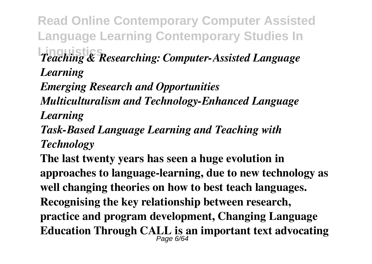**Read Online Contemporary Computer Assisted Language Learning Contemporary Studies In Linguistics** *Teaching & Researching: Computer-Assisted Language*

*Learning*

*Emerging Research and Opportunities*

*Multiculturalism and Technology-Enhanced Language Learning*

*Task-Based Language Learning and Teaching with Technology*

**The last twenty years has seen a huge evolution in approaches to language-learning, due to new technology as well changing theories on how to best teach languages. Recognising the key relationship between research, practice and program development, Changing Language Education Through CALL is an important text advocating** Page 6/64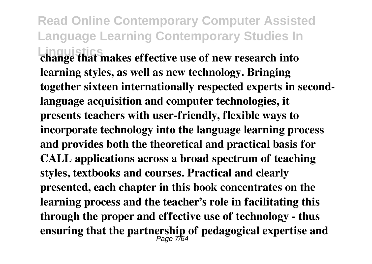**Read Online Contemporary Computer Assisted Language Learning Contemporary Studies In Linguistics change that makes effective use of new research into learning styles, as well as new technology. Bringing together sixteen internationally respected experts in secondlanguage acquisition and computer technologies, it presents teachers with user-friendly, flexible ways to incorporate technology into the language learning process and provides both the theoretical and practical basis for CALL applications across a broad spectrum of teaching styles, textbooks and courses. Practical and clearly presented, each chapter in this book concentrates on the learning process and the teacher's role in facilitating this through the proper and effective use of technology - thus ensuring that the partnership of pedagogical expertise and** Page 7/64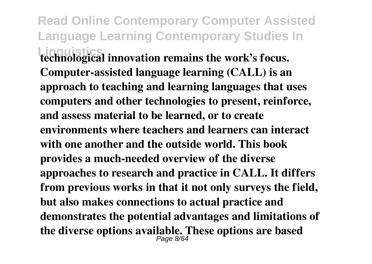**Read Online Contemporary Computer Assisted Language Learning Contemporary Studies In Linguistics technological innovation remains the work's focus. Computer-assisted language learning (CALL) is an approach to teaching and learning languages that uses computers and other technologies to present, reinforce, and assess material to be learned, or to create environments where teachers and learners can interact with one another and the outside world. This book provides a much-needed overview of the diverse approaches to research and practice in CALL. It differs from previous works in that it not only surveys the field, but also makes connections to actual practice and demonstrates the potential advantages and limitations of the diverse options available. These options are based** Page 8/64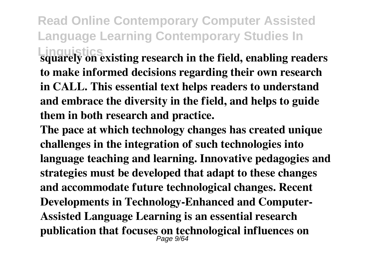**Read Online Contemporary Computer Assisted Language Learning Contemporary Studies In Linguistics squarely on existing research in the field, enabling readers**

**to make informed decisions regarding their own research in CALL. This essential text helps readers to understand and embrace the diversity in the field, and helps to guide them in both research and practice.**

**The pace at which technology changes has created unique challenges in the integration of such technologies into language teaching and learning. Innovative pedagogies and strategies must be developed that adapt to these changes and accommodate future technological changes. Recent Developments in Technology-Enhanced and Computer-Assisted Language Learning is an essential research publication that focuses on technological influences on** Page 9/64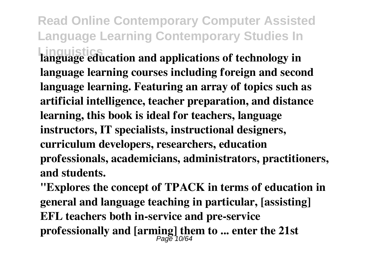**Read Online Contemporary Computer Assisted Language Learning Contemporary Studies In Linguistics language education and applications of technology in**

**language learning courses including foreign and second language learning. Featuring an array of topics such as artificial intelligence, teacher preparation, and distance learning, this book is ideal for teachers, language instructors, IT specialists, instructional designers, curriculum developers, researchers, education professionals, academicians, administrators, practitioners, and students.**

**"Explores the concept of TPACK in terms of education in general and language teaching in particular, [assisting] EFL teachers both in-service and pre-service professionally and [arming] them to ... enter the 21st** Page 10/64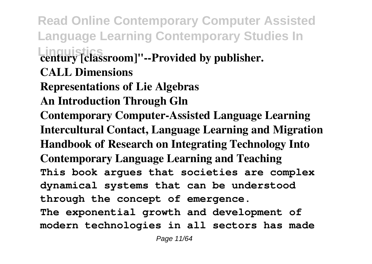**Read Online Contemporary Computer Assisted Language Learning Contemporary Studies In Linguistics century [classroom]"--Provided by publisher. CALL Dimensions Representations of Lie Algebras An Introduction Through Gln Contemporary Computer-Assisted Language Learning Intercultural Contact, Language Learning and Migration Handbook of Research on Integrating Technology Into Contemporary Language Learning and Teaching This book argues that societies are complex dynamical systems that can be understood through the concept of emergence. The exponential growth and development of modern technologies in all sectors has made**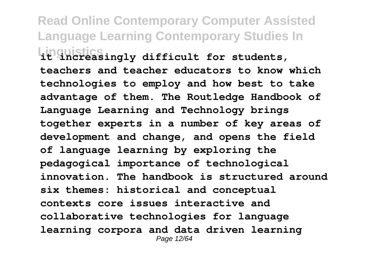**Read Online Contemporary Computer Assisted Language Learning Contemporary Studies In Linguistics it increasingly difficult for students, teachers and teacher educators to know which technologies to employ and how best to take advantage of them. The Routledge Handbook of Language Learning and Technology brings together experts in a number of key areas of development and change, and opens the field of language learning by exploring the pedagogical importance of technological innovation. The handbook is structured around six themes: historical and conceptual contexts core issues interactive and collaborative technologies for language learning corpora and data driven learning** Page 12/64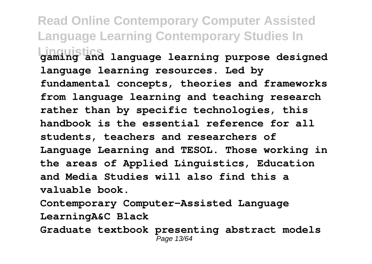**Read Online Contemporary Computer Assisted Language Learning Contemporary Studies In Linguistics gaming and language learning purpose designed language learning resources. Led by fundamental concepts, theories and frameworks from language learning and teaching research rather than by specific technologies, this handbook is the essential reference for all students, teachers and researchers of Language Learning and TESOL. Those working in the areas of Applied Linguistics, Education and Media Studies will also find this a valuable book.**

**Contemporary Computer-Assisted Language LearningA&C Black Graduate textbook presenting abstract models** Page 13/64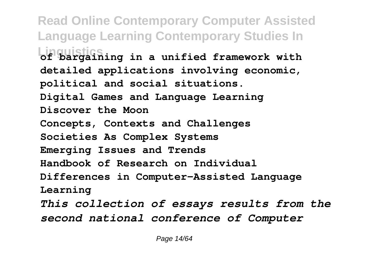**Read Online Contemporary Computer Assisted Language Learning Contemporary Studies In Linguistics of bargaining in a unified framework with detailed applications involving economic, political and social situations. Digital Games and Language Learning Discover the Moon Concepts, Contexts and Challenges Societies As Complex Systems Emerging Issues and Trends Handbook of Research on Individual Differences in Computer-Assisted Language Learning** *This collection of essays results from the second national conference of Computer*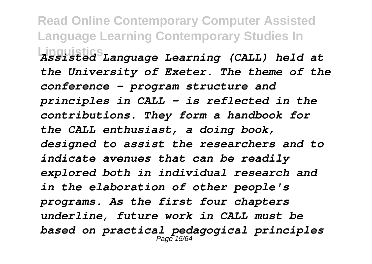**Read Online Contemporary Computer Assisted Language Learning Contemporary Studies In Linguistics** *Assisted Language Learning (CALL) held at the University of Exeter. The theme of the conference - program structure and principles in CALL - is reflected in the contributions. They form a handbook for the CALL enthusiast, a doing book, designed to assist the researchers and to indicate avenues that can be readily explored both in individual research and in the elaboration of other people's programs. As the first four chapters underline, future work in CALL must be based on practical pedagogical principles* Page 15/64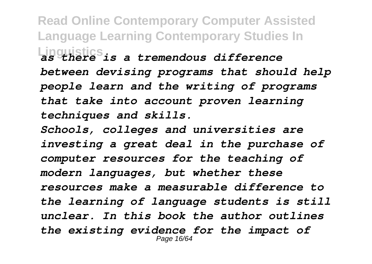**Read Online Contemporary Computer Assisted Language Learning Contemporary Studies In Linguistics** *as there is a tremendous difference between devising programs that should help people learn and the writing of programs that take into account proven learning techniques and skills.*

*Schools, colleges and universities are investing a great deal in the purchase of computer resources for the teaching of modern languages, but whether these resources make a measurable difference to the learning of language students is still unclear. In this book the author outlines the existing evidence for the impact of* Page 16/64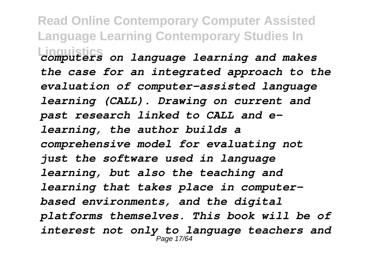**Read Online Contemporary Computer Assisted Language Learning Contemporary Studies In Linguistics** *computers on language learning and makes the case for an integrated approach to the evaluation of computer-assisted language learning (CALL). Drawing on current and past research linked to CALL and elearning, the author builds a comprehensive model for evaluating not just the software used in language learning, but also the teaching and learning that takes place in computerbased environments, and the digital platforms themselves. This book will be of interest not only to language teachers and* Page 17/64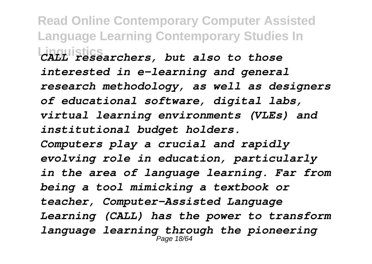**Read Online Contemporary Computer Assisted Language Learning Contemporary Studies In Linguistics** *CALL researchers, but also to those interested in e-learning and general research methodology, as well as designers of educational software, digital labs, virtual learning environments (VLEs) and institutional budget holders. Computers play a crucial and rapidly evolving role in education, particularly in the area of language learning. Far from being a tool mimicking a textbook or teacher, Computer-Assisted Language Learning (CALL) has the power to transform language learning through the pioneering* Page 18/64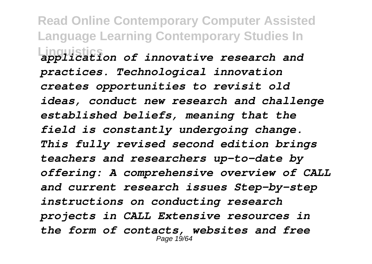**Read Online Contemporary Computer Assisted Language Learning Contemporary Studies In Linguistics** *application of innovative research and practices. Technological innovation creates opportunities to revisit old ideas, conduct new research and challenge established beliefs, meaning that the field is constantly undergoing change. This fully revised second edition brings teachers and researchers up-to-date by offering: A comprehensive overview of CALL and current research issues Step-by-step instructions on conducting research projects in CALL Extensive resources in the form of contacts, websites and free* Page 19/64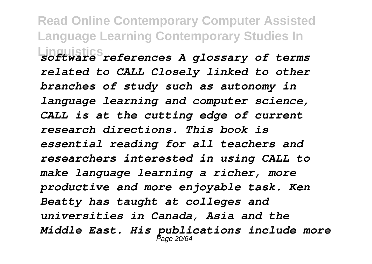**Read Online Contemporary Computer Assisted Language Learning Contemporary Studies In Linguistics** *software references A glossary of terms related to CALL Closely linked to other branches of study such as autonomy in language learning and computer science, CALL is at the cutting edge of current research directions. This book is essential reading for all teachers and researchers interested in using CALL to make language learning a richer, more productive and more enjoyable task. Ken Beatty has taught at colleges and universities in Canada, Asia and the Middle East. His publications include more* Page 20/64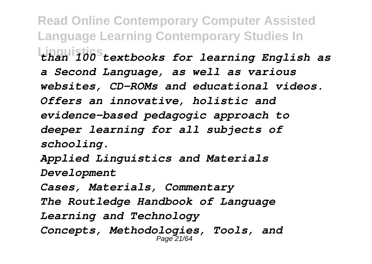**Read Online Contemporary Computer Assisted Language Learning Contemporary Studies In Linguistics** *than 100 textbooks for learning English as a Second Language, as well as various websites, CD-ROMs and educational videos. Offers an innovative, holistic and evidence-based pedagogic approach to deeper learning for all subjects of schooling. Applied Linguistics and Materials Development Cases, Materials, Commentary*

*The Routledge Handbook of Language*

*Learning and Technology*

*Concepts, Methodologies, Tools, and* Page 21/64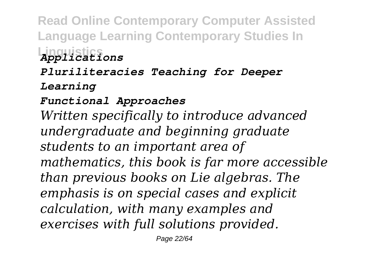**Read Online Contemporary Computer Assisted Language Learning Contemporary Studies In Linguistics** *Applications Pluriliteracies Teaching for Deeper Learning Functional Approaches Written specifically to introduce advanced undergraduate and beginning graduate students to an important area of mathematics, this book is far more accessible than previous books on Lie algebras. The emphasis is on special cases and explicit calculation, with many examples and exercises with full solutions provided.*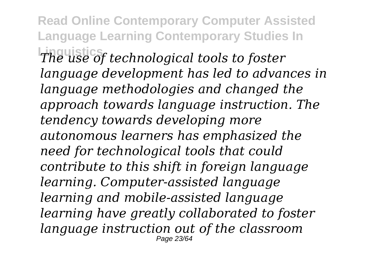**Read Online Contemporary Computer Assisted Language Learning Contemporary Studies In Linguistics** *The use of technological tools to foster language development has led to advances in language methodologies and changed the approach towards language instruction. The tendency towards developing more autonomous learners has emphasized the need for technological tools that could contribute to this shift in foreign language learning. Computer-assisted language learning and mobile-assisted language learning have greatly collaborated to foster language instruction out of the classroom* Page 23/64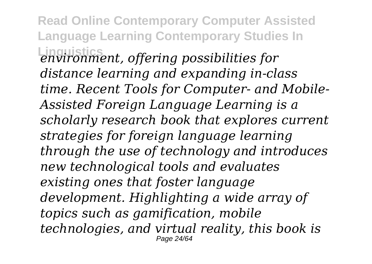**Read Online Contemporary Computer Assisted Language Learning Contemporary Studies In Linguistics** *environment, offering possibilities for distance learning and expanding in-class time. Recent Tools for Computer- and Mobile-Assisted Foreign Language Learning is a scholarly research book that explores current strategies for foreign language learning through the use of technology and introduces new technological tools and evaluates existing ones that foster language development. Highlighting a wide array of topics such as gamification, mobile technologies, and virtual reality, this book is* Page 24/64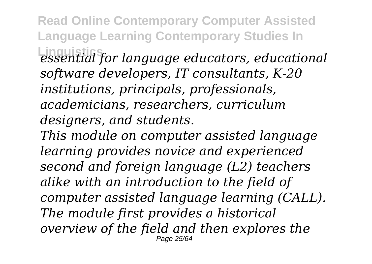**Read Online Contemporary Computer Assisted Language Learning Contemporary Studies In**

**Linguistics** *essential for language educators, educational software developers, IT consultants, K-20 institutions, principals, professionals, academicians, researchers, curriculum designers, and students.*

*This module on computer assisted language learning provides novice and experienced second and foreign language (L2) teachers alike with an introduction to the field of computer assisted language learning (CALL). The module first provides a historical overview of the field and then explores the* Page 25/64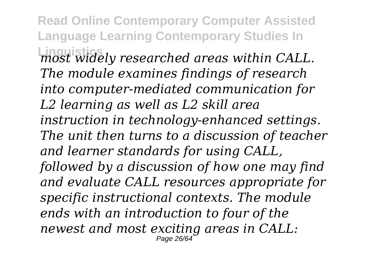**Read Online Contemporary Computer Assisted Language Learning Contemporary Studies In Linguistics** *most widely researched areas within CALL. The module examines findings of research into computer-mediated communication for L2 learning as well as L2 skill area instruction in technology-enhanced settings. The unit then turns to a discussion of teacher and learner standards for using CALL, followed by a discussion of how one may find and evaluate CALL resources appropriate for specific instructional contexts. The module ends with an introduction to four of the newest and most exciting areas in CALL:* Page 26/64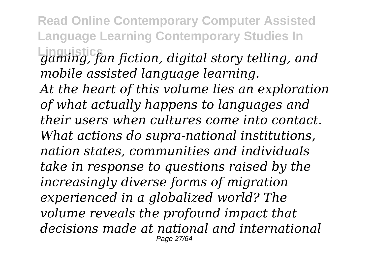**Read Online Contemporary Computer Assisted Language Learning Contemporary Studies In Linguistics** *gaming, fan fiction, digital story telling, and mobile assisted language learning. At the heart of this volume lies an exploration of what actually happens to languages and their users when cultures come into contact. What actions do supra-national institutions, nation states, communities and individuals take in response to questions raised by the increasingly diverse forms of migration experienced in a globalized world? The volume reveals the profound impact that decisions made at national and international* Page 27/64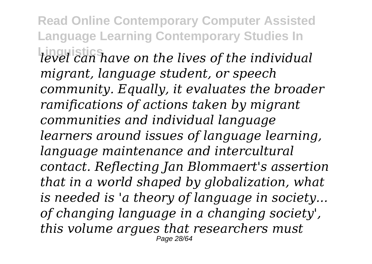**Read Online Contemporary Computer Assisted Language Learning Contemporary Studies In Linguistics** *level can have on the lives of the individual migrant, language student, or speech community. Equally, it evaluates the broader ramifications of actions taken by migrant communities and individual language learners around issues of language learning, language maintenance and intercultural contact. Reflecting Jan Blommaert's assertion that in a world shaped by globalization, what is needed is 'a theory of language in society... of changing language in a changing society', this volume argues that researchers must* Page 28/64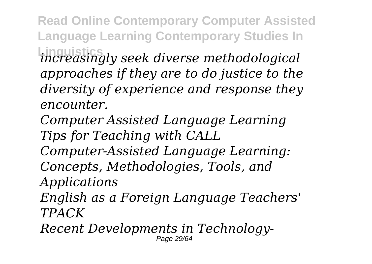**Read Online Contemporary Computer Assisted Language Learning Contemporary Studies In Linguistics** *increasingly seek diverse methodological*

*approaches if they are to do justice to the diversity of experience and response they encounter.*

*Computer Assisted Language Learning Tips for Teaching with CALL*

*Computer-Assisted Language Learning:*

*Concepts, Methodologies, Tools, and*

*Applications*

*English as a Foreign Language Teachers' TPACK*

*Recent Developments in Technology-*Page 29/64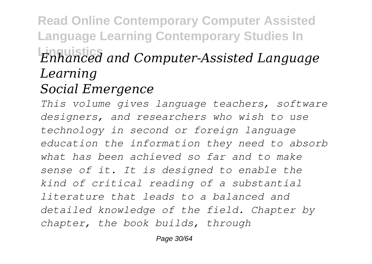## **Read Online Contemporary Computer Assisted Language Learning Contemporary Studies In Linguistics** *Enhanced and Computer-Assisted Language Learning Social Emergence*

*This volume gives language teachers, software designers, and researchers who wish to use technology in second or foreign language education the information they need to absorb what has been achieved so far and to make sense of it. It is designed to enable the kind of critical reading of a substantial literature that leads to a balanced and detailed knowledge of the field. Chapter by chapter, the book builds, through*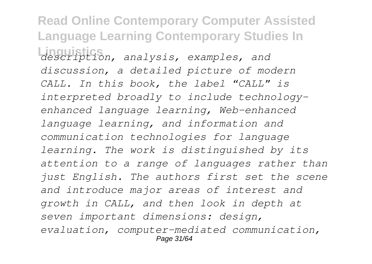**Read Online Contemporary Computer Assisted Language Learning Contemporary Studies In Linguistics** *description, analysis, examples, and discussion, a detailed picture of modern CALL. In this book, the label "CALL" is interpreted broadly to include technologyenhanced language learning, Web-enhanced language learning, and information and communication technologies for language learning. The work is distinguished by its attention to a range of languages rather than just English. The authors first set the scene and introduce major areas of interest and growth in CALL, and then look in depth at seven important dimensions: design, evaluation, computer-mediated communication,* Page 31/64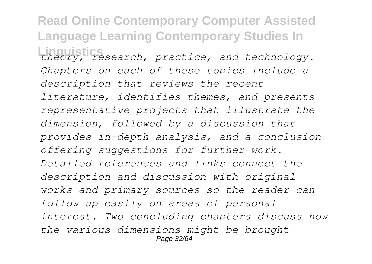**Read Online Contemporary Computer Assisted Language Learning Contemporary Studies In Linguistics** *theory, research, practice, and technology. Chapters on each of these topics include a description that reviews the recent literature, identifies themes, and presents representative projects that illustrate the dimension, followed by a discussion that provides in-depth analysis, and a conclusion offering suggestions for further work. Detailed references and links connect the description and discussion with original works and primary sources so the reader can follow up easily on areas of personal interest. Two concluding chapters discuss how the various dimensions might be brought* Page 32/64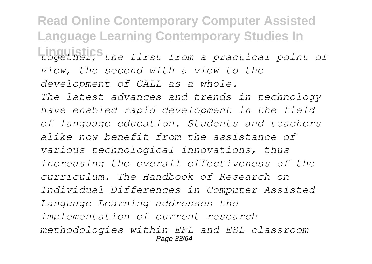**Read Online Contemporary Computer Assisted Language Learning Contemporary Studies In Linguistics** *together, the first from a practical point of view, the second with a view to the development of CALL as a whole. The latest advances and trends in technology have enabled rapid development in the field of language education. Students and teachers alike now benefit from the assistance of various technological innovations, thus increasing the overall effectiveness of the curriculum. The Handbook of Research on Individual Differences in Computer-Assisted Language Learning addresses the implementation of current research methodologies within EFL and ESL classroom* Page 33/64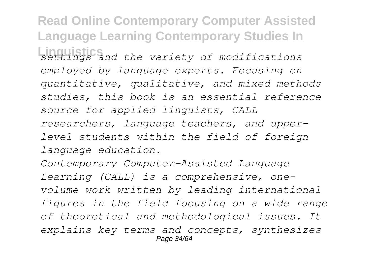**Read Online Contemporary Computer Assisted Language Learning Contemporary Studies In Linguistics** *settings and the variety of modifications employed by language experts. Focusing on quantitative, qualitative, and mixed methods studies, this book is an essential reference source for applied linguists, CALL researchers, language teachers, and upperlevel students within the field of foreign language education.*

*Contemporary Computer-Assisted Language Learning (CALL) is a comprehensive, onevolume work written by leading international figures in the field focusing on a wide range of theoretical and methodological issues. It explains key terms and concepts, synthesizes* Page 34/64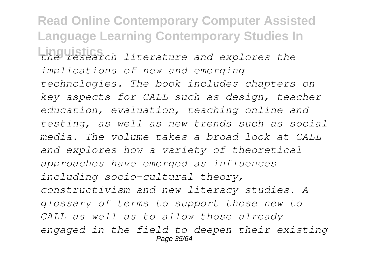**Read Online Contemporary Computer Assisted Language Learning Contemporary Studies In Linguistics** *the research literature and explores the implications of new and emerging technologies. The book includes chapters on key aspects for CALL such as design, teacher education, evaluation, teaching online and testing, as well as new trends such as social media. The volume takes a broad look at CALL and explores how a variety of theoretical approaches have emerged as influences including socio-cultural theory, constructivism and new literacy studies. A glossary of terms to support those new to CALL as well as to allow those already engaged in the field to deepen their existing* Page 35/64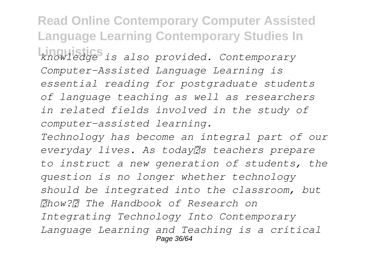**Read Online Contemporary Computer Assisted Language Learning Contemporary Studies In Linguistics** *knowledge is also provided. Contemporary Computer-Assisted Language Learning is essential reading for postgraduate students of language teaching as well as researchers in related fields involved in the study of computer-assisted learning.*

*Technology has become an integral part of our* everyday *lives. As today*<sup>7</sup>s teachers prepare *to instruct a new generation of students, the question is no longer whether technology should be integrated into the classroom, but how? The Handbook of Research on Integrating Technology Into Contemporary Language Learning and Teaching is a critical* Page 36/64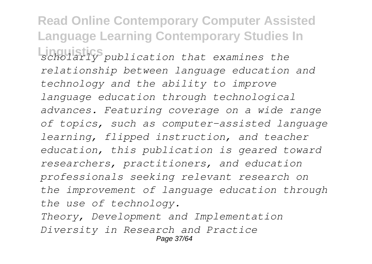**Read Online Contemporary Computer Assisted Language Learning Contemporary Studies In Linguistics** *scholarly publication that examines the relationship between language education and technology and the ability to improve language education through technological advances. Featuring coverage on a wide range of topics, such as computer-assisted language learning, flipped instruction, and teacher education, this publication is geared toward researchers, practitioners, and education professionals seeking relevant research on the improvement of language education through the use of technology. Theory, Development and Implementation Diversity in Research and Practice* Page 37/64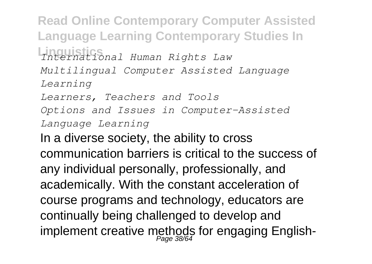**Read Online Contemporary Computer Assisted Language Learning Contemporary Studies In Linguistics** *International Human Rights Law Multilingual Computer Assisted Language Learning Learners, Teachers and Tools Options and Issues in Computer-Assisted Language Learning* In a diverse society, the ability to cross

communication barriers is critical to the success of any individual personally, professionally, and academically. With the constant acceleration of course programs and technology, educators are continually being challenged to develop and implement creative methods for engaging English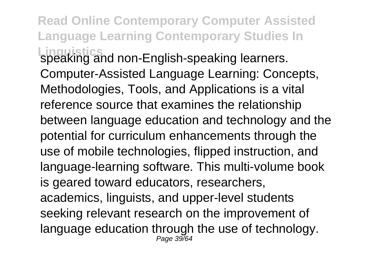**Read Online Contemporary Computer Assisted Language Learning Contemporary Studies In Linguistics** speaking and non-English-speaking learners. Computer-Assisted Language Learning: Concepts, Methodologies, Tools, and Applications is a vital reference source that examines the relationship between language education and technology and the potential for curriculum enhancements through the use of mobile technologies, flipped instruction, and language-learning software. This multi-volume book is geared toward educators, researchers, academics, linguists, and upper-level students seeking relevant research on the improvement of language education through the use of technology. Page 39/64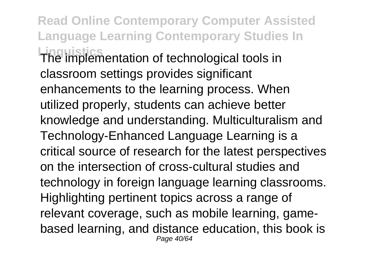**Read Online Contemporary Computer Assisted Language Learning Contemporary Studies In Linguistics** The implementation of technological tools in classroom settings provides significant enhancements to the learning process. When utilized properly, students can achieve better knowledge and understanding. Multiculturalism and Technology-Enhanced Language Learning is a critical source of research for the latest perspectives on the intersection of cross-cultural studies and technology in foreign language learning classrooms. Highlighting pertinent topics across a range of relevant coverage, such as mobile learning, gamebased learning, and distance education, this book is Page 40/64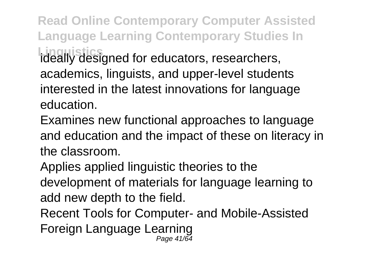**Read Online Contemporary Computer Assisted Language Learning Contemporary Studies In** Linguistics<br>ideally designed for educators, researchers, academics, linguists, and upper-level students interested in the latest innovations for language education.

Examines new functional approaches to language and education and the impact of these on literacy in the classroom.

Applies applied linguistic theories to the development of materials for language learning to add new depth to the field.

Recent Tools for Computer- and Mobile-Assisted Foreign Language Learning Page 41/64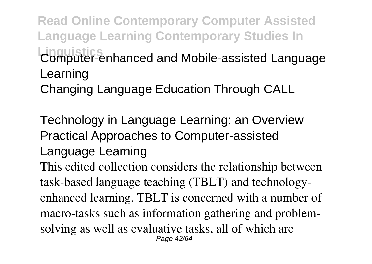**Read Online Contemporary Computer Assisted Language Learning Contemporary Studies In Linguistics** Computer-enhanced and Mobile-assisted Language Learning

Changing Language Education Through CALL

Technology in Language Learning: an Overview Practical Approaches to Computer-assisted Language Learning This edited collection considers the relationship between task-based language teaching (TBLT) and technologyenhanced learning. TBLT is concerned with a number of macro-tasks such as information gathering and problemsolving as well as evaluative tasks, all of which are Page 42/64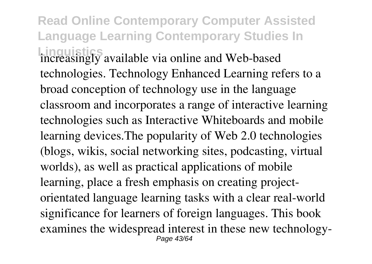**Read Online Contemporary Computer Assisted Language Learning Contemporary Studies In Linguistics** increasingly available via online and Web-based technologies. Technology Enhanced Learning refers to a broad conception of technology use in the language classroom and incorporates a range of interactive learning technologies such as Interactive Whiteboards and mobile learning devices.The popularity of Web 2.0 technologies (blogs, wikis, social networking sites, podcasting, virtual worlds), as well as practical applications of mobile learning, place a fresh emphasis on creating projectorientated language learning tasks with a clear real-world significance for learners of foreign languages. This book examines the widespread interest in these new technology-Page 43/64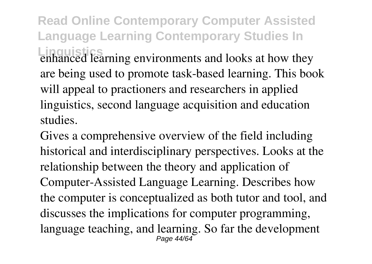**Read Online Contemporary Computer Assisted Language Learning Contemporary Studies In Linguistics** enhanced learning environments and looks at how they are being used to promote task-based learning. This book will appeal to practioners and researchers in applied linguistics, second language acquisition and education studies.

Gives a comprehensive overview of the field including historical and interdisciplinary perspectives. Looks at the relationship between the theory and application of Computer-Assisted Language Learning. Describes how the computer is conceptualized as both tutor and tool, and discusses the implications for computer programming, language teaching, and learning. So far the development Page 44/64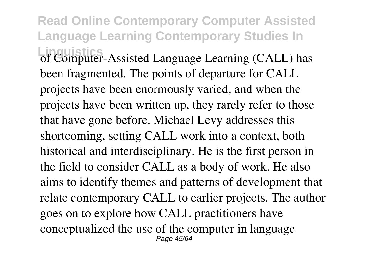**Read Online Contemporary Computer Assisted Language Learning Contemporary Studies In Linguistics** of Computer-Assisted Language Learning (CALL) has been fragmented. The points of departure for CALL projects have been enormously varied, and when the projects have been written up, they rarely refer to those that have gone before. Michael Levy addresses this shortcoming, setting CALL work into a context, both historical and interdisciplinary. He is the first person in the field to consider CALL as a body of work. He also aims to identify themes and patterns of development that relate contemporary CALL to earlier projects. The author goes on to explore how CALL practitioners have conceptualized the use of the computer in language Page 45/64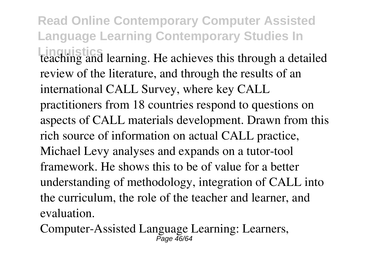**Read Online Contemporary Computer Assisted Language Learning Contemporary Studies In Linguistics** learning. He achieves this through a detailed review of the literature, and through the results of an international CALL Survey, where key CALL practitioners from 18 countries respond to questions on aspects of CALL materials development. Drawn from this rich source of information on actual CALL practice, Michael Levy analyses and expands on a tutor-tool framework. He shows this to be of value for a better understanding of methodology, integration of CALL into the curriculum, the role of the teacher and learner, and evaluation.

Computer-Assisted Language Learning: Learners,  $\overline{P}$ age  $\overline{46}/64$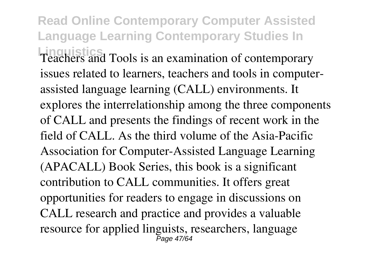**Read Online Contemporary Computer Assisted Language Learning Contemporary Studies In Linguistics** Teachers and Tools is an examination of contemporary issues related to learners, teachers and tools in computerassisted language learning (CALL) environments. It explores the interrelationship among the three components of CALL and presents the findings of recent work in the field of CALL. As the third volume of the Asia-Pacific Association for Computer-Assisted Language Learning (APACALL) Book Series, this book is a significant contribution to CALL communities. It offers great opportunities for readers to engage in discussions on CALL research and practice and provides a valuable resource for applied linguists, researchers, language Page 47/64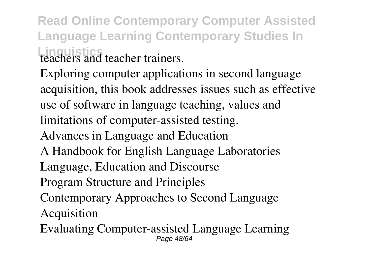**Read Online Contemporary Computer Assisted Language Learning Contemporary Studies In Linguistics**<br>teachers and teacher trainers.

Exploring computer applications in second language acquisition, this book addresses issues such as effective use of software in language teaching, values and limitations of computer-assisted testing. Advances in Language and Education A Handbook for English Language Laboratories Language, Education and Discourse Program Structure and Principles Contemporary Approaches to Second Language Acquisition Evaluating Computer-assisted Language Learning Page 48/64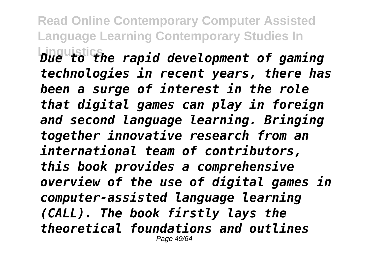**Read Online Contemporary Computer Assisted Language Learning Contemporary Studies In**

**Linguistics** *Due to the rapid development of gaming technologies in recent years, there has been a surge of interest in the role that digital games can play in foreign and second language learning. Bringing together innovative research from an international team of contributors, this book provides a comprehensive overview of the use of digital games in computer-assisted language learning (CALL). The book firstly lays the theoretical foundations and outlines* Page 49/64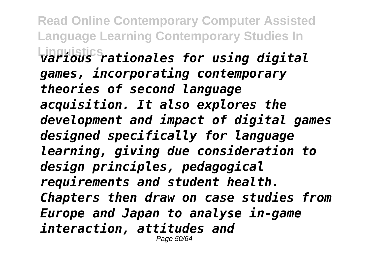**Read Online Contemporary Computer Assisted Language Learning Contemporary Studies In Linguistics** *various rationales for using digital games, incorporating contemporary theories of second language acquisition. It also explores the development and impact of digital games designed specifically for language learning, giving due consideration to design principles, pedagogical requirements and student health. Chapters then draw on case studies from Europe and Japan to analyse in-game interaction, attitudes and* Page 50/64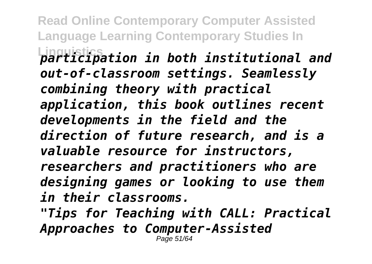**Read Online Contemporary Computer Assisted Language Learning Contemporary Studies In Linguistics** *participation in both institutional and out-of-classroom settings. Seamlessly combining theory with practical application, this book outlines recent developments in the field and the direction of future research, and is a valuable resource for instructors, researchers and practitioners who are designing games or looking to use them in their classrooms. "Tips for Teaching with CALL: Practical Approaches to Computer-Assisted* Page 51/64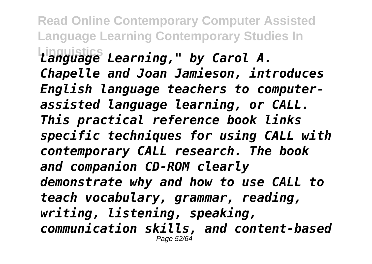**Read Online Contemporary Computer Assisted Language Learning Contemporary Studies In Linguistics** *Language Learning," by Carol A. Chapelle and Joan Jamieson, introduces English language teachers to computerassisted language learning, or CALL. This practical reference book links specific techniques for using CALL with contemporary CALL research. The book and companion CD-ROM clearly demonstrate why and how to use CALL to teach vocabulary, grammar, reading, writing, listening, speaking, communication skills, and content-based* Page 52/64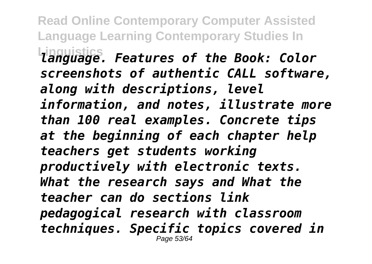**Read Online Contemporary Computer Assisted Language Learning Contemporary Studies In Linguistics** *language. Features of the Book: Color screenshots of authentic CALL software, along with descriptions, level information, and notes, illustrate more than 100 real examples. Concrete tips at the beginning of each chapter help teachers get students working productively with electronic texts. What the research says and What the teacher can do sections link pedagogical research with classroom techniques. Specific topics covered in* Page 53/64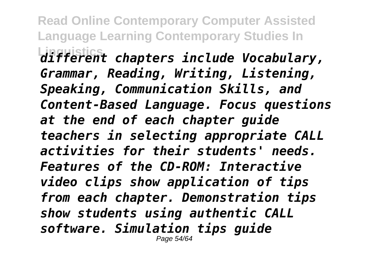**Read Online Contemporary Computer Assisted Language Learning Contemporary Studies In Linguistics** *different chapters include Vocabulary, Grammar, Reading, Writing, Listening, Speaking, Communication Skills, and Content-Based Language. Focus questions at the end of each chapter guide teachers in selecting appropriate CALL activities for their students' needs. Features of the CD-ROM: Interactive video clips show application of tips from each chapter. Demonstration tips show students using authentic CALL software. Simulation tips guide* Page 54/64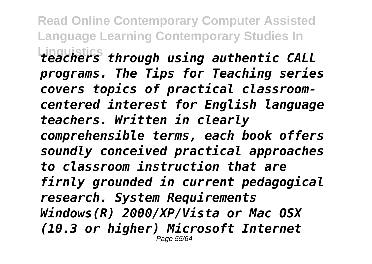**Read Online Contemporary Computer Assisted Language Learning Contemporary Studies In Linguistics** *teachers through using authentic CALL programs. The Tips for Teaching series covers topics of practical classroomcentered interest for English language teachers. Written in clearly comprehensible terms, each book offers soundly conceived practical approaches to classroom instruction that are firnly grounded in current pedagogical research. System Requirements Windows(R) 2000/XP/Vista or Mac OSX (10.3 or higher) Microsoft Internet* Page 55/64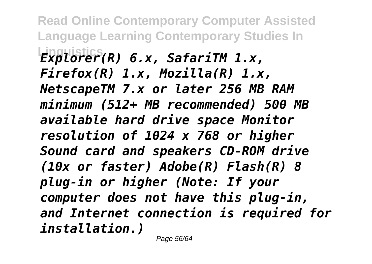**Read Online Contemporary Computer Assisted Language Learning Contemporary Studies In Linguistics** *Explorer(R) 6.x, SafariTM 1.x, Firefox(R) 1.x, Mozilla(R) 1.x, NetscapeTM 7.x or later 256 MB RAM minimum (512+ MB recommended) 500 MB available hard drive space Monitor resolution of 1024 x 768 or higher Sound card and speakers CD-ROM drive (10x or faster) Adobe(R) Flash(R) 8 plug-in or higher (Note: If your computer does not have this plug-in, and Internet connection is required for installation.)*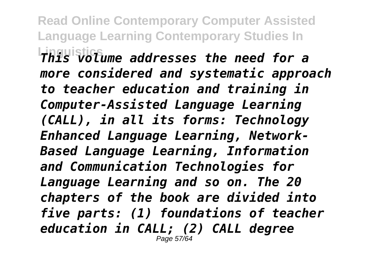**Read Online Contemporary Computer Assisted Language Learning Contemporary Studies In Linguistics** *This volume addresses the need for a more considered and systematic approach to teacher education and training in Computer-Assisted Language Learning (CALL), in all its forms: Technology Enhanced Language Learning, Network-Based Language Learning, Information and Communication Technologies for Language Learning and so on. The 20 chapters of the book are divided into five parts: (1) foundations of teacher education in CALL; (2) CALL degree* Page 57/64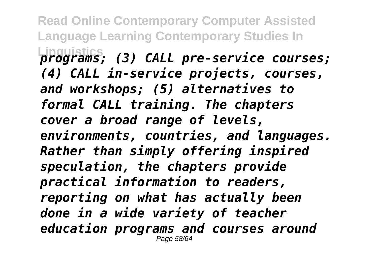**Read Online Contemporary Computer Assisted Language Learning Contemporary Studies In Linguistics** *programs; (3) CALL pre-service courses; (4) CALL in-service projects, courses, and workshops; (5) alternatives to formal CALL training. The chapters cover a broad range of levels, environments, countries, and languages. Rather than simply offering inspired speculation, the chapters provide practical information to readers, reporting on what has actually been done in a wide variety of teacher education programs and courses around* Page 58/64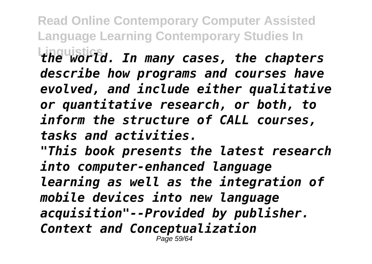**Read Online Contemporary Computer Assisted Language Learning Contemporary Studies In Linguistics** *the world. In many cases, the chapters describe how programs and courses have evolved, and include either qualitative or quantitative research, or both, to inform the structure of CALL courses, tasks and activities.*

*"This book presents the latest research into computer-enhanced language learning as well as the integration of mobile devices into new language acquisition"--Provided by publisher. Context and Conceptualization* Page 59/64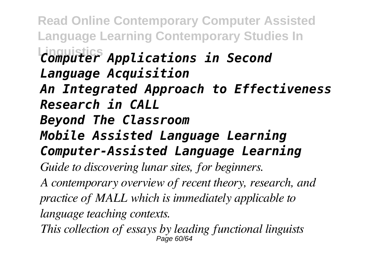**Read Online Contemporary Computer Assisted Language Learning Contemporary Studies In Linguistics** *Computer Applications in Second Language Acquisition An Integrated Approach to Effectiveness Research in CALL Beyond The Classroom Mobile Assisted Language Learning Computer-Assisted Language Learning Guide to discovering lunar sites, for beginners. A contemporary overview of recent theory, research, and practice of MALL which is immediately applicable to language teaching contexts. This collection of essays by leading functional linguists* Page 60/64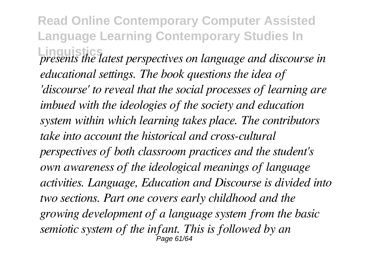**Read Online Contemporary Computer Assisted Language Learning Contemporary Studies In Linguistics** *presents the latest perspectives on language and discourse in educational settings. The book questions the idea of 'discourse' to reveal that the social processes of learning are imbued with the ideologies of the society and education system within which learning takes place. The contributors take into account the historical and cross-cultural perspectives of both classroom practices and the student's own awareness of the ideological meanings of language activities. Language, Education and Discourse is divided into two sections. Part one covers early childhood and the growing development of a language system from the basic semiotic system of the infant. This is followed by an* Page 61/64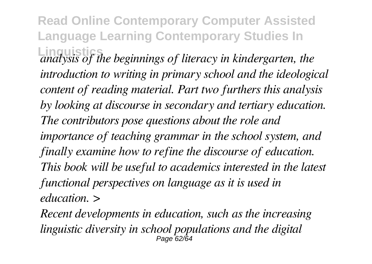**Read Online Contemporary Computer Assisted Language Learning Contemporary Studies In Linguistics** *analysis of the beginnings of literacy in kindergarten, the introduction to writing in primary school and the ideological content of reading material. Part two furthers this analysis by looking at discourse in secondary and tertiary education. The contributors pose questions about the role and importance of teaching grammar in the school system, and finally examine how to refine the discourse of education. This book will be useful to academics interested in the latest functional perspectives on language as it is used in education. >*

*Recent developments in education, such as the increasing linguistic diversity in school populations and the digital* Page 62/64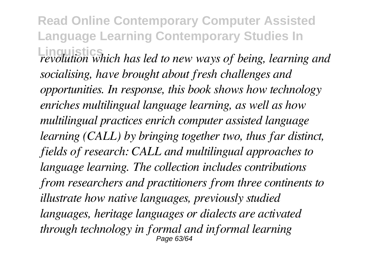**Read Online Contemporary Computer Assisted Language Learning Contemporary Studies In Linguistics** *revolution which has led to new ways of being, learning and socialising, have brought about fresh challenges and opportunities. In response, this book shows how technology enriches multilingual language learning, as well as how multilingual practices enrich computer assisted language learning (CALL) by bringing together two, thus far distinct, fields of research: CALL and multilingual approaches to language learning. The collection includes contributions from researchers and practitioners from three continents to illustrate how native languages, previously studied languages, heritage languages or dialects are activated through technology in formal and informal learning* Page 63/64